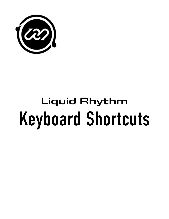

## Keyboard Shortcuts Liquid Rhythm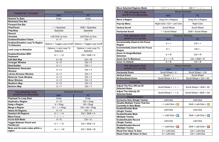| <b>TRANSPORT TOOLBAR</b>                                      | <b>Keyboard Shortcuts</b>                    |                                     |  |
|---------------------------------------------------------------|----------------------------------------------|-------------------------------------|--|
|                                                               | <b>MAC</b>                                   | <b>PC</b>                           |  |
| <b>Rewind To Start</b>                                        | Enter                                        | Enter                               |  |
| <b>Backward One Bar</b>                                       |                                              |                                     |  |
| <b>Forward One Bar</b>                                        | $\mathbf{a}$                                 | $\epsilon$                          |  |
| <b>Play/Pause</b>                                             | û + Spacebar                                 | Shift + Spacebar                    |  |
| <b>Play/Stop</b>                                              | Spacebar                                     | Spacebar                            |  |
| <b>Record</b>                                                 |                                              |                                     |  |
| Overdub                                                       | Left Click on Icon                           | Left Click on Icon                  |  |
| <b>Enables/Disables Follow</b>                                | $*F$                                         | $Ctrl + F$                          |  |
| <b>Enables/Disables Loop To Region</b><br><b>To Selection</b> | Options > Toggle Loop on/off                 | Options > Toggle Loop on/off        |  |
| <b>Lock Loop to Selection</b>                                 | Options > Lock Loop To<br>Selection          | Options > Lock Loop To<br>Selection |  |
| <b>Enables/Disables MIDI</b><br><b>Keyboard</b>               | $\mathbb{R} + \hat{\mathbb{R}} + \mathsf{K}$ | $Ctrl + Shift + K$                  |  |
| <b>Edit Midi Map</b>                                          | $*M$                                         | $Ctrl + M$                          |  |
| <b>Arranger Window</b>                                        | $* 0$                                        | $Ctrl + 0$                          |  |
| <b>Beat Builder</b>                                           | $*1$                                         | $Ctrl + 1$                          |  |
| <b>Beatweaver Generator</b><br><b>Window</b>                  | $* 2$                                        | $Ctrl + 2$                          |  |
| <b>Library Browser Window</b>                                 | $*3$                                         | $Ctrl + 3$                          |  |
| <b>Molecule Tools Window</b>                                  | $*4$                                         | $Ctrl + 4$                          |  |
| <b>Mixer Window</b>                                           | $*5$                                         | $Ctrl + 5$                          |  |
| <b>Beatform Map</b>                                           | $*6$                                         | $Ctrl + 6$                          |  |
| <b>Barform Map</b>                                            | $*7$                                         | $Ctrl + 7$                          |  |

| THE ARRANGE PAGE                                      | <b>Keyboard Shortcuts</b>                                      |                                                                |
|-------------------------------------------------------|----------------------------------------------------------------|----------------------------------------------------------------|
| <b>SHORTCUTS (REGIONS)</b>                            | <b>MAC</b>                                                     | <b>PC</b>                                                      |
| <b>Playhead To Loop Start</b>                         | Enter                                                          | Enter                                                          |
| <b>Duplicate a Region</b>                             | $*D$                                                           | Ctrl + Drag                                                    |
| Swap a Region                                         | $*$ + Drag                                                     | $Alt + Drag$                                                   |
| Merge a Region                                        | $* \sim + \text{ Drag}$                                        | $Ctrl + Alt + Drag$                                            |
| <b>Select All Regions</b>                             | $* A$                                                          | $Ctrl + A$                                                     |
| <b>Deselect All Regions</b>                           | $\mathbb{R} + \hat{v} + A$                                     | $Ctrl + Shift + A$                                             |
| <b>Move Focus</b>                                     | $\uparrow \quad \downarrow \quad \leftarrow \quad \rightarrow$ | $\uparrow \quad \downarrow \quad \leftarrow \quad \rightarrow$ |
| <b>InLine Edit Mode</b>                               | $*E$                                                           | $Ctrl + E$                                                     |
| <b>Toggle Between Pencil and</b><br><b>Paintbrush</b> | $\mathcal{H} + \hat{v} + E$                                    | $Ctrl + Shift + E$                                             |
| Mute and Un-mute notes within a<br>region             | $\mathbb{R} + \hat{\mathbb{R}} + M$                            | $Ctrl + Shift + M$                                             |

| <b>Move Selected Regions Mode</b>                                        | Ctrl + $\uparrow \quad \downarrow \quad \leftarrow \rightarrow$<br>$\sim$ + 1 $\downarrow$ $\leftarrow$ $\rightarrow$ |                                   |
|--------------------------------------------------------------------------|-----------------------------------------------------------------------------------------------------------------------|-----------------------------------|
| <b>THE ARRANGE PAGE</b>                                                  | <b>Mouse Shortcuts</b>                                                                                                |                                   |
| <b>SHORTCUTS (REGIONS)</b>                                               | <b>MAC</b>                                                                                                            | <b>PC</b>                         |
| Move a Region                                                            | Drag (On a Region)                                                                                                    | Drag (On a Region)                |
| <b>Pop-Up Menu</b>                                                       | Right-Click / Ctrl + Left Click                                                                                       | <b>Right-Click</b>                |
| <b>Vertical Scroll</b>                                                   | <b>Scroll Wheel</b>                                                                                                   | <b>Scroll Wheel</b>               |
| <b>Horizontal Scroll</b>                                                 | û + Scroll Wheel                                                                                                      | Shift + Scroll Wheel              |
| <b>THE ARRANGE PAGE</b>                                                  | <b>Keyboard Shortcuts</b>                                                                                             |                                   |
| SHORTCUTS (ZOOM)                                                         | <b>MAC</b>                                                                                                            | <b>PC</b>                         |
| <b>Incrementally Zoom-In On Focus</b><br><b>Region</b>                   | $* + +$                                                                                                               | $Ctrl + +$                        |
| <b>Incrementally Zoom-Out On Focus</b><br><b>Region</b>                  | $* -$                                                                                                                 | $Ctrl + -$                        |
| Zoom To Single/Multiple<br><b>Selection</b>                              | $*R$                                                                                                                  | $Ctrl + R$                        |
| <b>Zoom Out To Maximum</b>                                               | $\mathbb{R} + \hat{v} + R$                                                                                            | $Ctrl + Shift + R$                |
| <b>Zoom To Default</b>                                                   | $*$ + B                                                                                                               | $Ctrl + B$                        |
| <b>THE ARRANGE PAGE</b>                                                  | <b>Mouse Shortcuts</b>                                                                                                |                                   |
| <b>SHORTCUTS (ZOOM)</b>                                                  | <b>MAC</b>                                                                                                            | <b>PC</b>                         |
| <b>Horizontal Zoom</b>                                                   | Scroll Wheel + $\#$                                                                                                   | Scroll Wheel + Ctrl               |
| <b>Vertical Zoom</b>                                                     | Scroll + $\sim$                                                                                                       | <b>Scroll Wheel</b>               |
| <b>Bi-Directional Zoom</b>                                               | Scroll Wheel + $\mathbb{R}$ + $\sim$                                                                                  | Scroll Wheel + Ctrl + Alt         |
| <b>InLine Edit</b>                                                       |                                                                                                                       |                                   |
| <b>Adjust The Pico Off-set Of</b><br><b>Selected Notes</b>               | Scroll Wheel + $\hat{v}$ + $\sim$                                                                                     | Scroll Wheel + Shift + Alt        |
| <b>Adjust The Velocity Of</b><br><b>Selected Notes</b>                   | Scroll Wheel + $\hat{v}$ + $\#$                                                                                       | Scroll Wheel + Shift + Ctrl       |
| <b>Channel Headers</b>                                                   |                                                                                                                       |                                   |
| <b>Exclusive Solo (Single Tracks)</b>                                    | Left-Click                                                                                                            | Left-Click                        |
| <b>Disable Multiple Tracks That Are</b><br><b>Currently In Solo Mode</b> | $\hat{u}$ + Left-Click + $\frac{1}{2}$                                                                                | Shift + Left-Click + $\vert$ 5    |
| <b>Enable/Disable Mute</b><br>(Single Tracks)                            | Left-Click                                                                                                            | Left-Click                        |
| <b>Enable/Disable Mute</b><br>(Multiple Tracks)                          | $\hat{v}$ + Left-Click + $\vert$ M                                                                                    | Shift + Left-Click + $\mathbb{M}$ |
| <b>Enable/Disable Record</b><br>(Single Tracks)                          | Left-Click                                                                                                            | Left-Click                        |
| <b>Enable/Disable Record</b><br>(Multiple Tracks)                        | û + Left-Click + F                                                                                                    | Shift + Left-Click +              |
| <b>Reset Pan Value To Zero</b>                                           | $\mathcal{H}$ + Left-Click                                                                                            | Ctrl + Left-Click                 |
| <b>Reset Fader dB Value To Zero</b>                                      | $*$ + Left-Click                                                                                                      | Ctrl + Left-Click                 |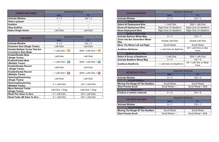| <b>LIBRARY BROWSER</b>      | <b>Keyboard Shortcuts</b> |               |
|-----------------------------|---------------------------|---------------|
|                             | <b>MAC</b>                | <b>PC</b>     |
| <b>Activate Window</b>      | $*3$                      | $Ctrl + 3$    |
| Select up/down              |                           |               |
| <b>Audition</b>             | $\leftarrow$              | $\leftarrow$  |
| <b>Stop Audition</b>        | $\rightarrow$             | $\rightarrow$ |
| <b>Select Single Voices</b> | Left-Click                | Left-Click    |

| <b>THE MIXER</b>                                                         | <b>Keyboard Shortcuts</b>             |                                    |
|--------------------------------------------------------------------------|---------------------------------------|------------------------------------|
|                                                                          | <b>MAC</b>                            | <b>PC</b>                          |
| <b>Activate Window</b>                                                   | $*5$                                  | $Ctrl + 5$                         |
| <b>Exclusive Solo (Single Tracks)</b>                                    | Left-Click                            | Left-Click                         |
| <b>Disable Multiple Tracks That Are</b><br><b>Currently In Solo Mode</b> | û + Left-Click + <mark>ਬ</mark>       | Shift + Left-Click + $\ \vec{z}\ $ |
| <b>Enable/Disable Mute</b><br>(Single Tracks)                            | Left-Click                            | Left-Click                         |
| <b>Enable/Disable Mute</b><br>(Multiple Tracks)                          | $\hat{v}$ + Left-Click + $\mathbf{M}$ | Shift + Left-Click + $\mathbf{M}$  |
| <b>Enable/Disable Record</b><br>(Single Tracks)                          | Left-Click                            | Left-Click                         |
| <b>Enable/Disable Record</b><br>(Multiple Tracks)                        | $\hat{I}$ + Left-Click + $\hat{H}$    | Shift + Left-Click + $\mathbb{E}$  |
| <b>Selecting/Deselecting</b><br>(Single Tracks)                          | Left-Click                            | Left-Click                         |
| <b>Selecting/Deselecting</b><br>(Multiple Tracks)                        | <b><math>\%</math> + Left-Click</b>   | Ctrl + Left-Click                  |
| <b>Move Selected Tracks</b><br>(Single Tracks)                           | Left-Click + Drag                     | Left-Click + Drag                  |
| <b>Reset Pan Value To Zero</b>                                           | <b><math>\%</math> + Left-Click</b>   | Ctrl + Left-Click                  |
| <b>Reset Fader dB Value To Zero</b>                                      | $\mathcal{H}$ + Left-Click            | Ctrl + Left-Click                  |

| <b>THE BEATWEAVER</b>                 | <b>Keyboard Shortcuts</b>       |                                   |
|---------------------------------------|---------------------------------|-----------------------------------|
|                                       | <b>MAC</b>                      | <b>PC</b>                         |
| <b>Activate Window</b>                | $* 2$                           | $Ctrl + 2$                        |
| <b>Deployment Bins</b>                |                                 |                                   |
| <b>Select All Deployment Bins</b>     | û + Left-Click                  | Shift + Left-Click                |
| <b>Reset All Deployment Bins</b>      | Right-Click On Beatform         | <b>Right-Click On Beatform</b>    |
| <b>Reset Deployment Bins</b>          | <b>Right-Click On Beatform</b>  | <b>Right-Click On Beatform</b>    |
| <b>Barform Wheel Map</b>              |                                 |                                   |
| <b>Activate Barform Wheel Map</b>     | $*7$                            | $Ctrl + 7$                        |
| Zoom Into Bar Generation Wheel<br>Map | Double Left-Click               | Double Left-Click                 |
| Move The Wheel Left and Right         | <b>Scroll Wheel</b>             | <b>Scroll Wheel</b>               |
| <b>Auditions Barforms</b>             | $\sim$ + Left-Click On BarForm  | Alt + Left-Click on Bar-<br>Form  |
| <b>Beatform Wheel Map</b>             |                                 |                                   |
| <b>Select A Group of Beatforms</b>    | û + Left-Click                  | Shift + Left-Click                |
| <b>Activate Beatform Wheel Map</b>    | $*6$                            | $Ctrl + 6$                        |
| <b>Auditions Beatforms</b>            | $\sim$ + Left-Click On BeatForm | Alt + Left-Click on Beat-<br>Form |

| <b>MOLECULE TOOLS</b>                   | <b>Keyboard Shortcuts</b> |                |
|-----------------------------------------|---------------------------|----------------|
|                                         | <b>MAC</b>                | <b>PC</b>      |
| <b>Activate Window</b>                  | $*4$                      | $Ctrl + 4$     |
| <b>Accent Modifiers</b>                 |                           |                |
| <b>Moving The Range Of The Handlers</b> | <b>Scroll Wheel</b>       | Scroll Who     |
| <b>Slow Precise Scroll</b>              | Scroll Wheel + û          | Scroll Wheel . |
| Randomizer                              |                           |                |
| Produce a random molecule               | $*K$                      | $Ctrl + K$     |
|                                         |                           |                |
| THE BEAT BUILDER                        | <b>Keyboard Shortcuts</b> |                |
|                                         |                           |                |

|  | <b>THE BEAT BUILDER</b> |
|--|-------------------------|
|  |                         |

**Activate Window** 

| <b>MOLECULE TOOLS</b>                   | <b>Keyboard Shortcuts</b> |                      |
|-----------------------------------------|---------------------------|----------------------|
|                                         | <b>MAC</b>                | <b>PC</b>            |
| <b>Activate Window</b>                  | $*4$                      | $Ctrl + 4$           |
| <b>Accent Modifiers</b>                 |                           |                      |
| <b>Moving The Range Of The Handlers</b> | <b>Scroll Wheel</b>       | <b>Scroll Wheel</b>  |
| <b>Slow Precise Scroll</b>              | Scroll Wheel + û          | Scroll Wheel + Shift |
| Randomizer                              |                           |                      |
| Produce a random molecule               | $*$ + K                   | $Ctrl + K$           |

| <b>THE BEAT BUILDER</b>                 | <b>Keyboard Shortcuts</b> |                      |
|-----------------------------------------|---------------------------|----------------------|
|                                         | <b>MAC</b>                | PC.                  |
| <b>Activate Window</b>                  | $*1$                      | $Ctrl + 1$           |
| <b>Accent Modifiers</b>                 |                           |                      |
| <b>Moving The Range Of The Handlers</b> | <b>Scroll Wheel</b>       | <b>Scroll Wheel</b>  |
| <b>Slow Precise Scroll</b>              | Scroll Wheel + $\hat{u}$  | Scroll Wheel + Shift |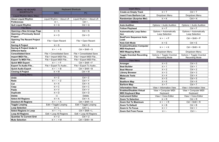| <b>MENU KEYBOARD</b>                                     | <b>Keyboard Shortcuts</b>           |                          |
|----------------------------------------------------------|-------------------------------------|--------------------------|
| <b>SHORTCUTS</b>                                         | <b>MAC</b>                          | <b>PC</b>                |
| Liquid Rhythm Menu (Mac)                                 |                                     |                          |
| <b>About Liquid Rhythm</b>                               | Liquid Rhythm > About LR            | Liquid Rhythm > About LR |
| <b>Preferences</b>                                       | $\mathcal{H}$ +,                    | Ctrl $+$ ,               |
| <b>Quit Liquid Rhythm</b>                                | $*$ + $Q$                           | $Ctrl + Q$               |
| <b>File Menu</b>                                         |                                     |                          |
| <b>Opening a New Arrange Page</b>                        | $*N$                                | $Ctrl + N$               |
| <b>Opening a Previously Saved</b><br><b>Project</b>      | $*$ + $O$                           | $Ctrl + O$               |
| <b>Opening The Recent Project</b><br><b>List</b>         | File > Open Recent                  | File > Open Recent       |
| <b>Saving A Project</b>                                  | $*S$                                | $Ctrl + S$               |
| <b>Saving A Project Under A</b><br><b>Different Name</b> | $\mathbb{R} + \hat{\mathbb{I}} + S$ | $Ctrl + Shift + S$       |
| <b>Consolidated Save</b>                                 | File > Consolidated Save            | File > Consolidated Save |
| <b>Import MIDI File</b>                                  | File > Import MIDI File             | File > Import MIDI File  |
| <b>Export To MIDI File</b>                               | File > Export MIDI File             | File > Export MIDI File  |
| <b>Quick MIDI Export</b>                                 | $\mathbb{R} + \hat{v} + F$          | $Ctrl + Shift + F$       |
| <b>Export To Audio File</b>                              | File > Export To Audio              | File > Export To Audio   |
| <b>Quick Audio Export</b>                                | $\mathbb{R} + \hat{v} + B$          | $Ctrl + Shift + B$       |
| <b>Closing A Project</b>                                 | $*W$                                | $Ctrl + W$               |
| <b>Editing Menu</b>                                      |                                     |                          |
| <b>Undo</b>                                              | $*Z$                                | $Ctrl + Z$               |
| <b>Redo</b>                                              | $* + \hat{v} + Z$                   | $Ctrl + Y$               |
| Cut                                                      | $*X$                                | $Ctrl + X$               |
| Copy                                                     | $* C$                               | $Ctrl + C$               |
| <b>Paste</b>                                             | $W + W$                             | $Ctrl + V$               |
| <b>Duplicate</b>                                         | $# + D$                             | $Ctrl + D$               |
| <b>Delete</b>                                            | $\left\langle \times \right\rangle$ | <b>Delete</b>            |
| <b>Select All Regions</b>                                | $# + A$                             | $Ctrl + A$               |
| <b>Deselect All Regions</b>                              | $\mathbb{R} + \hat{v} + A$          | $Ctrl + Shift + A$       |
| <b>Toggle Looping</b>                                    | Edit > Toggle Looping               | Edit > Toggle Looping    |
| <b>Loop Selection</b>                                    | $# + L$                             | $Ctrl + L$               |
| <b>Select Regions in Loop</b>                            | $\mathbb{R} + \hat{v} + L$          | $Ctrl + Shift + L$       |
| <b>Loop All Regions</b>                                  | Edit > Loop All Regions             | Edit > Loop All Regions  |
| <b>Quantize To Current Grid</b>                          | $H + U$                             | $Ctrl + U$               |
| <b>Mute Selection</b>                                    | $* + \hat{v} + M$                   | $Ctrl + Shift + M$       |

| <b>Insert Menu</b>                                       |                                                     |                                                     |
|----------------------------------------------------------|-----------------------------------------------------|-----------------------------------------------------|
| <b>Create an Empty Track</b>                             | $*$ + T                                             | $Ctrl + T$                                          |
| <b>Insert From Barform List</b>                          | Dropdown Menu                                       | Dropdown Menu                                       |
| <b>Randomizer (Surprise Me!)</b>                         | $*K$                                                | $Ctrl + K$                                          |
| <b>Options</b>                                           |                                                     |                                                     |
| <b>Auto Audition</b>                                     | Options > Audio Audition                            | Options > Audio Audition                            |
| <b>Follow Playhead</b>                                   | $*F$                                                | $Ctrl + F$                                          |
| <b>Automatically Loop Selec-</b><br>tion                 | <b>Options &gt; Automatically</b><br>Loop Selection | <b>Options &gt; Automatically</b><br>Loop Selection |
| <b>BeatForm Sequencer Auto</b><br>Load                   | $\mathbb{R} + \hat{v} + P$                          | $Ctrl + Shift + P$                                  |
| <b>Note Edit Mode</b>                                    | $*F$                                                | $Ctrl + E$                                          |
| <b>Enables/Disables Computer</b><br><b>MIDI Keyboard</b> | $* + \hat{v} + K$                                   | $Ctrl + Shift + K$                                  |
| <b>MIDI Mapping Mode</b>                                 | Dropdown Menu                                       | Dropdown Menu                                       |
| <b>Toggle Overdub Recording</b><br><b>Mode</b>           | Options > Toggle Overdub<br><b>Recording Mode</b>   | Options > Toggle Overdub<br><b>Recording Mode</b>   |
| <b>View Menu</b>                                         |                                                     |                                                     |
| Arranger                                                 | $* 0$                                               | $Ctrl + 0$                                          |
| <b>Beat Builder</b>                                      | $*1$                                                | $Ctrl + 1$                                          |
| <b>Beat Weaver</b>                                       | $* 2$                                               | $Ctrl + 2$                                          |
| <b>Library Browser</b>                                   | $*3$                                                | $Ctrl + 3$                                          |
| <b>Molecule Tools</b>                                    | $*4$                                                | $Ctrl + 4$                                          |
| <b>Mixer</b>                                             | $*5$                                                | $Ctrl + 5$                                          |
| <b>Beatform Map</b>                                      | $*6$                                                | $Ctrl + 6$                                          |
| <b>Barform Map</b>                                       | $*7$                                                | $Ctrl + 7$                                          |
| <b>Information View</b>                                  | View > Information View                             | View > Information View                             |
| <b>Enables/Disables Virtual</b>                          | View > Computer MIDI                                | View > Computer MIDI                                |
| <b>MIDI Keyboard Map</b>                                 | Keyboard                                            | Keyboard                                            |
| <b>Instrument Editor</b>                                 | View > Voice Editor                                 | View > Voice Editor                                 |
| <b>Zoom To Selection</b>                                 | $*R$                                                | $Ctrl + R$                                          |
| <b>Zoom Out To Maximum</b>                               | $\mathbb{R} + \hat{v} + R$                          | $Ctrl + Shift + R$                                  |
| <b>Zoom To Default</b>                                   | $*$ + B                                             | $Ctrl + B$                                          |
| <b>Zoom In To Focus</b>                                  | $* =$                                               | $Ctrl + =$                                          |
| <b>Zoom Out From Focus</b>                               | $* - 36$                                            | $Ctrl + -$                                          |